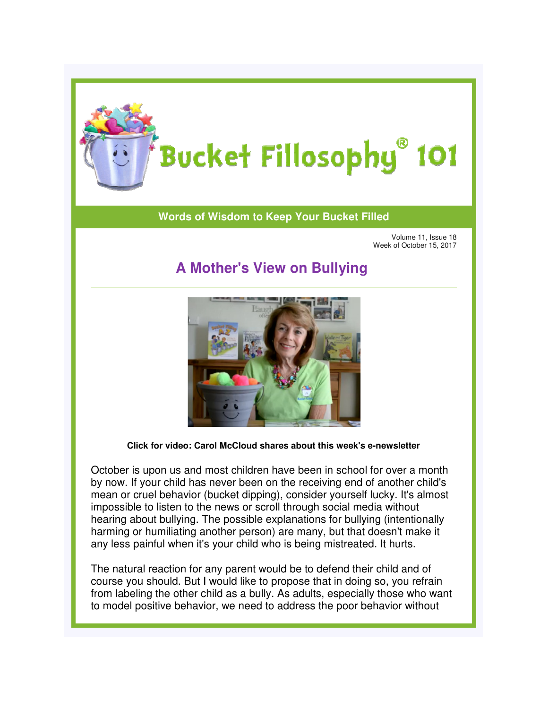

## Bucket Fillosophy® 101

## **Words of Wisdom to Keep Your Bucket Filled**

Volume 11, Issue 18 Week of October 15, 2017

## **A Mother's View on Bullying A**



**Click for video: Carol McCloud shares abou about this week's e-newsletter newsletter**

October is upon us and most children have been in school for over a month by now. If your child has never been on the receiving end of another child's by now. If your child has never been on the receiving end of another child's<br>mean or cruel behavior (bucket dipping), consider yourself lucky. It's almost impossible to listen to the news or scroll through social media without hearing about bullying. The possible explanations for bullying (intentionally harming or humiliating another person) are many, but that doesn't make it any less painful when it's your child who is being mistreated. It hurts. impossible to listen to the news or scroll through social media without<br>hearing about bullying. The possible explanations for bullying (intentionally<br>harming or humiliating another person) are many, but that doesn't make i

The natural reaction for any parent would be to defend their child and of course you should. But I would like to propose that in doing so, you refrain to model positive behavior, we need to address the poor behavior without